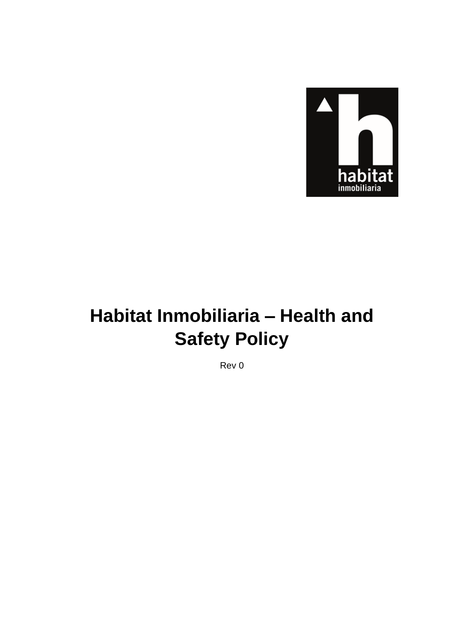

# Habitat Inmobiliaria - Health and **Safety Policy**

Rev 0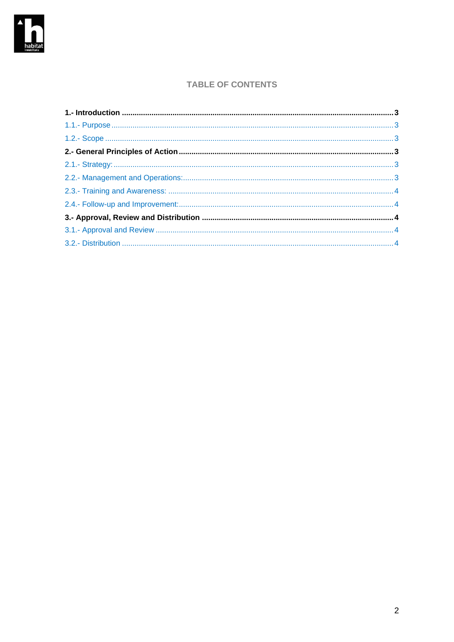

### **TABLE OF CONTENTS**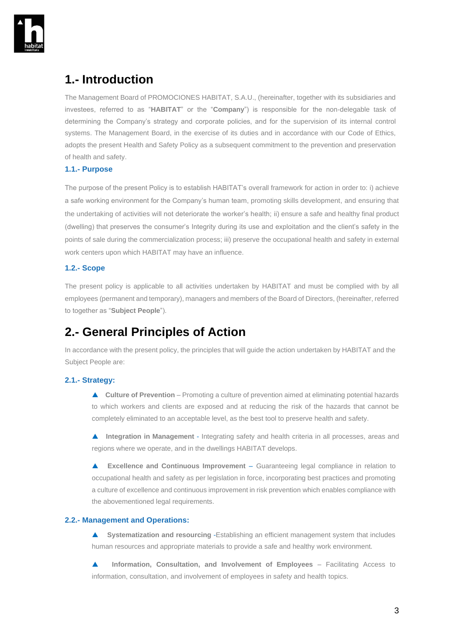

### <span id="page-2-0"></span>**1.- Introduction**

The Management Board of PROMOCIONES HABITAT, S.A.U., (hereinafter, together with its subsidiaries and investees, referred to as "**HABITAT**" or the "**Company**") is responsible for the non-delegable task of determining the Company's strategy and corporate policies, and for the supervision of its internal control systems. The Management Board, in the exercise of its duties and in accordance with our Code of Ethics, adopts the present Health and Safety Policy as a subsequent commitment to the prevention and preservation of health and safety.

#### <span id="page-2-1"></span>**1.1.- Purpose**

The purpose of the present Policy is to establish HABITAT's overall framework for action in order to: i) achieve a safe working environment for the Company's human team, promoting skills development, and ensuring that the undertaking of activities will not deteriorate the worker's health; ii) ensure a safe and healthy final product (dwelling) that preserves the consumer's Integrity during its use and exploitation and the client's safety in the points of sale during the commercialization process; iii) preserve the occupational health and safety in external work centers upon which HABITAT may have an influence.

#### <span id="page-2-2"></span>**1.2.- Scope**

The present policy is applicable to all activities undertaken by HABITAT and must be complied with by all employees (permanent and temporary), managers and members of the Board of Directors, (hereinafter, referred to together as "**Subject People**").

## <span id="page-2-3"></span>**2.- General Principles of Action**

In accordance with the present policy, the principles that will guide the action undertaken by HABITAT and the Subject People are:

#### <span id="page-2-4"></span>**2.1.- Strategy:**

 **Culture of Prevention** – Promoting a culture of prevention aimed at eliminating potential hazards to which workers and clients are exposed and at reducing the risk of the hazards that cannot be completely eliminated to an acceptable level, as the best tool to preserve health and safety.

 **Integration in Management** - Integrating safety and health criteria in all processes, areas and regions where we operate, and in the dwellings HABITAT develops.

 **Excellence and Continuous Improvement** – Guaranteeing legal compliance in relation to occupational health and safety as per legislation in force, incorporating best practices and promoting a culture of excellence and continuous improvement in risk prevention which enables compliance with the abovementioned legal requirements.

#### <span id="page-2-5"></span>**2.2.- Management and Operations:**

 **Systematization and resourcing** -Establishing an efficient management system that includes human resources and appropriate materials to provide a safe and healthy work environment.

**Information, Consultation, and Involvement of Employees** – Facilitating Access to information, consultation, and involvement of employees in safety and health topics.